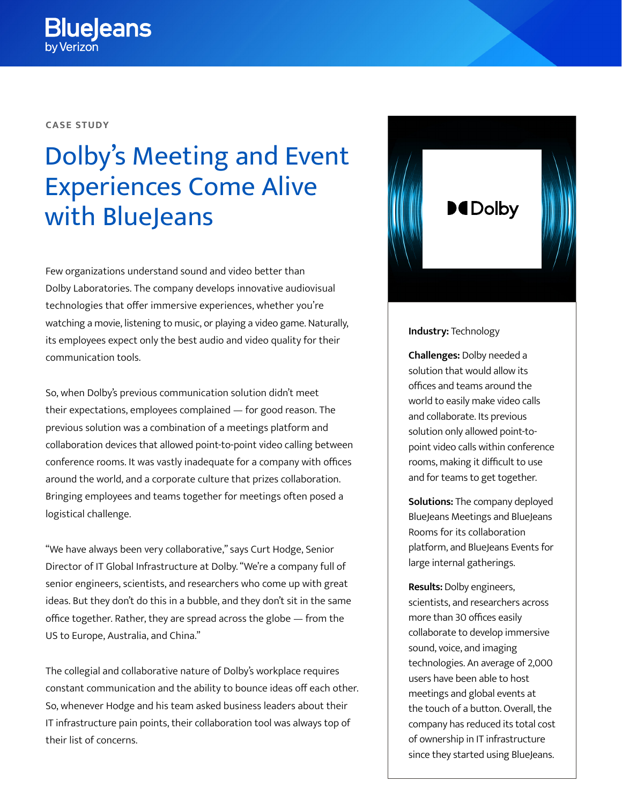## **CASE STUDY**

# Dolby's Meeting and Event Experiences Come Alive with **BlueJeans**

Few organizations understand sound and video better than Dolby Laboratories. The company develops innovative audiovisual technologies that offer immersive experiences, whether you're watching a movie, listening to music, or playing a video game. Naturally, its employees expect only the best audio and video quality for their communication tools.

So, when Dolby's previous communication solution didn't meet their expectations, employees complained — for good reason. The previous solution was a combination of a meetings platform and collaboration devices that allowed point-to-point video calling between conference rooms. It was vastly inadequate for a company with offices around the world, and a corporate culture that prizes collaboration. Bringing employees and teams together for meetings often posed a logistical challenge.

"We have always been very collaborative," says Curt Hodge, Senior Director of IT Global Infrastructure at Dolby. "We're a company full of senior engineers, scientists, and researchers who come up with great ideas. But they don't do this in a bubble, and they don't sit in the same office together. Rather, they are spread across the globe — from the US to Europe, Australia, and China."

The collegial and collaborative nature of Dolby's workplace requires constant communication and the ability to bounce ideas off each other. So, whenever Hodge and his team asked business leaders about their IT infrastructure pain points, their collaboration tool was always top of their list of concerns.



#### **Industry:** Technology

**Challenges:** Dolby needed a solution that would allow its offices and teams around the world to easily make video calls and collaborate. Its previous solution only allowed point-topoint video calls within conference rooms, making it difficult to use and for teams to get together.

**Solutions:** The company deployed BlueJeans Meetings and BlueJeans Rooms for its collaboration platform, and BlueJeans Events for large internal gatherings.

**Results:** Dolby engineers, scientists, and researchers across more than 30 offices easily collaborate to develop immersive sound, voice, and imaging technologies. An average of 2,000 users have been able to host meetings and global events at the touch of a button. Overall, the company has reduced its total cost of ownership in IT infrastructure since they started using BlueJeans.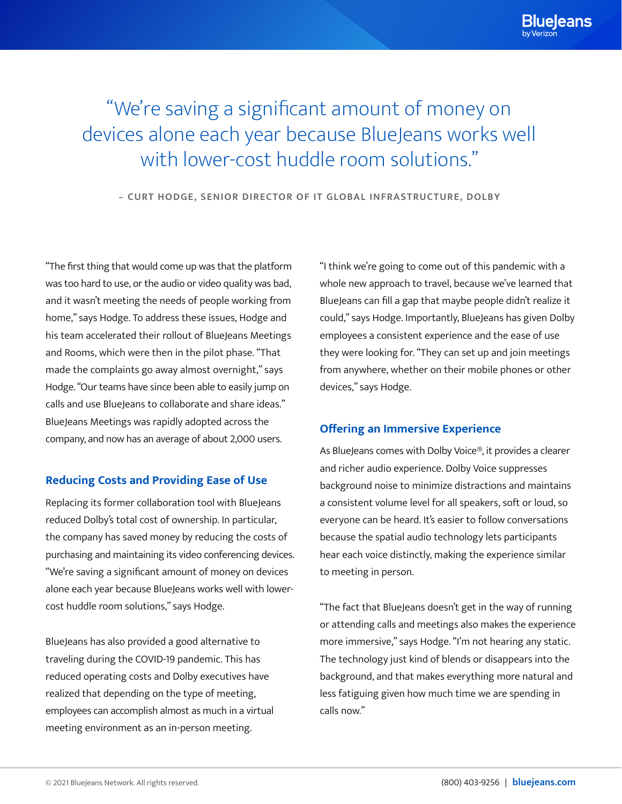# "We're saving a significant amount of money on devices alone each year because BlueJeans works well with lower-cost huddle room solutions."

**– CURT HODGE, SENIOR DIRECTOR OF IT GLOBAL INFRASTRUCTURE, DOLBY**

"The first thing that would come up was that the platform was too hard to use, or the audio or video quality was bad, and it wasn't meeting the needs of people working from home," says Hodge. To address these issues, Hodge and his team accelerated their rollout of BlueJeans Meetings and Rooms, which were then in the pilot phase. "That made the complaints go away almost overnight," says Hodge. "Our teams have since been able to easily jump on calls and use BlueJeans to collaborate and share ideas." BlueJeans Meetings was rapidly adopted across the company, and now has an average of about 2,000 users.

# **Reducing Costs and Providing Ease of Use**

Replacing its former collaboration tool with BlueJeans reduced Dolby's total cost of ownership. In particular, the company has saved money by reducing the costs of purchasing and maintaining its video conferencing devices. "We're saving a significant amount of money on devices alone each year because BlueJeans works well with lowercost huddle room solutions," says Hodge.

BlueJeans has also provided a good alternative to traveling during the COVID-19 pandemic. This has reduced operating costs and Dolby executives have realized that depending on the type of meeting, employees can accomplish almost as much in a virtual meeting environment as an in-person meeting.

"I think we're going to come out of this pandemic with a whole new approach to travel, because we've learned that BlueJeans can fill a gap that maybe people didn't realize it could," says Hodge. Importantly, BlueJeans has given Dolby employees a consistent experience and the ease of use they were looking for. "They can set up and join meetings from anywhere, whether on their mobile phones or other devices," says Hodge.

# **Offering an Immersive Experience**

As BlueJeans comes with Dolby Voice®, it provides a clearer and richer audio experience. Dolby Voice suppresses background noise to minimize distractions and maintains a consistent volume level for all speakers, soft or loud, so everyone can be heard. It's easier to follow conversations because the spatial audio technology lets participants hear each voice distinctly, making the experience similar to meeting in person.

"The fact that BlueJeans doesn't get in the way of running or attending calls and meetings also makes the experience more immersive," says Hodge. "I'm not hearing any static. The technology just kind of blends or disappears into the background, and that makes everything more natural and less fatiguing given how much time we are spending in calls now."